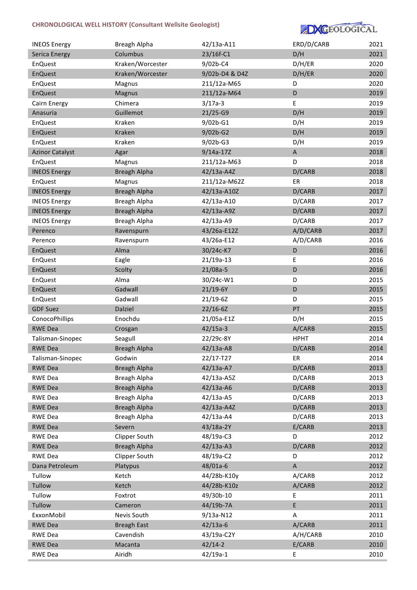# **CHRONOLOGICAL WELL HISTORY (Consultant Wellsite Geologist)**



| <b>INEOS Energy</b>    | Breagh Alpha        | 42/13a-A11               | ERD/D/CARB                | 2021         |
|------------------------|---------------------|--------------------------|---------------------------|--------------|
| <b>Serica Energy</b>   | Columbus            | 23/16f-C1                | D/H                       | 2021         |
| <b>EnQuest</b>         | Kraken/Worcester    | 9/02b-C4                 | D/H/ER                    | 2020         |
| <b>EnQuest</b>         | Kraken/Worcester    | 9/02b-D4 & D4Z           | D/H/ER                    | 2020         |
| EnQuest                | Magnus              | 211/12a-M65              | D                         | 2020         |
| <b>EnQuest</b>         | Magnus              | 211/12a-M64              | D                         | 2019         |
| Cairn Energy           | Chimera             | $3/17a-3$                | E                         | 2019         |
| Anasuria               | Guillemot           | $21/25-G9$               | D/H                       | 2019         |
| EnQuest                | Kraken              | 9/02b-G1                 | D/H                       | 2019         |
| <b>EnQuest</b>         | Kraken              | $9/02b-G2$               | D/H                       | 2019         |
| EnQuest                | Kraken              | $9/02b-G3$               | D/H                       | 2019         |
| <b>Azinor Catalyst</b> | Agar                | $9/14a-17Z$              | $\boldsymbol{\mathsf{A}}$ | 2018         |
| EnQuest                | Magnus              | 211/12a-M63              | D                         | 2018         |
| <b>INEOS Energy</b>    | <b>Breagh Alpha</b> | 42/13a-A4Z               | D/CARB                    | 2018         |
| EnQuest                | Magnus              | 211/12a-M62Z             | ER                        | 2018         |
| <b>INEOS Energy</b>    | <b>Breagh Alpha</b> | 42/13a-A10Z              | D/CARB                    | 2017         |
| <b>INEOS Energy</b>    | Breagh Alpha        | 42/13a-A10               | D/CARB                    | 2017         |
| <b>INEOS Energy</b>    | <b>Breagh Alpha</b> | 42/13a-A9Z               | D/CARB                    | 2017         |
| <b>INEOS Energy</b>    | Breagh Alpha        | 42/13a-A9                | D/CARB                    | 2017         |
| Perenco                | Ravenspurn          | 43/26a-E12Z              | A/D/CARB                  | 2017         |
| Perenco                | Ravenspurn          | 43/26a-E12               | A/D/CARB                  | 2016         |
| <b>EnQuest</b>         | Alma                | 30/24c-K7                | D                         | 2016         |
| EnQuest                | Eagle               | 21/19a-13                | E                         | 2016         |
| <b>EnQuest</b>         | Scolty              | $21/08a-5$               | D                         | 2016         |
| <b>EnQuest</b>         | Alma                | 30/24c-W1                | D                         | 2015         |
| <b>EnQuest</b>         | Gadwall             | 21/19-6Y                 | D                         | 2015         |
| <b>EnQuest</b>         | Gadwall             | $21/19 - 6Z$             | D                         | 2015         |
| <b>GDF Suez</b>        | Dalziel             | $22/16 - 6Z$             | PT                        | 2015         |
| ConocoPhillips         | Enochdu             | 21/05a-E1Z               | D/H                       | 2015         |
| <b>RWE Dea</b>         | Crosgan             | $42/15a-3$               | A/CARB                    | 2015         |
| Talisman-Sinopec       | Seagull             | 22/29c-8Y                | <b>HPHT</b>               | 2014         |
| <b>RWE Dea</b>         | Breagh Alpha        | 42/13a-A8                | D/CARB                    | 2014         |
| Talisman-Sinopec       | Godwin              | 22/17-T27                | ER                        | 2014         |
| <b>RWE Dea</b>         | <b>Breagh Alpha</b> | 42/13a-A7                | D/CARB                    | 2013         |
| <b>RWE Dea</b>         | Breagh Alpha        | 42/13a-A5Z               | D/CARB                    | 2013         |
| <b>RWE Dea</b>         | <b>Breagh Alpha</b> | 42/13a-A6                | D/CARB                    | 2013         |
| <b>RWE Dea</b>         | Breagh Alpha        | 42/13a-A5                | D/CARB                    | 2013         |
| <b>RWE Dea</b>         | <b>Breagh Alpha</b> | 42/13a-A4Z               | D/CARB                    | 2013         |
| <b>RWE Dea</b>         | Breagh Alpha        | 42/13a-A4                | D/CARB                    | 2013         |
| <b>RWE Dea</b>         | Severn              | 43/18a-2Y                | E/CARB                    | 2013         |
| <b>RWE Dea</b>         | Clipper South       | 48/19a-C3                | D                         | 2012         |
| <b>RWE Dea</b>         | <b>Breagh Alpha</b> | 42/13a-A3                | D/CARB                    | 2012         |
| <b>RWE Dea</b>         | Clipper South       | 48/19a-C2                | D                         | 2012         |
| Dana Petroleum         | Platypus            | 48/01a-6                 | $\mathsf A$               | 2012         |
| Tullow                 | Ketch               | 44/28b-K10y              | A/CARB                    | 2012         |
|                        |                     |                          |                           |              |
| Tullow<br>Tullow       | Ketch<br>Foxtrot    | 44/28b-K10z<br>49/30b-10 | A/CARB                    | 2012<br>2011 |
| Tullow                 |                     |                          | Ε<br>E                    | 2011         |
|                        | Cameron             | 44/19b-7A                |                           |              |
| ExxonMobil             | Nevis South         | 9/13a-N12                | $\mathsf A$               | 2011         |
| <b>RWE Dea</b>         | <b>Breagh East</b>  | $42/13a-6$               | A/CARB                    | 2011         |
| <b>RWE Dea</b>         | Cavendish           | 43/19a-C2Y               | A/H/CARB                  | 2010         |
| <b>RWE Dea</b>         | Macanta             | $42/14-2$                | E/CARB                    | 2010         |
| <b>RWE Dea</b>         | Airidh              | 42/19a-1                 | Ε                         | 2010         |

 $V_{\rm eff}$  is a contract of  $V_{\rm eff}$  experimental density  $\alpha$  and  $\alpha$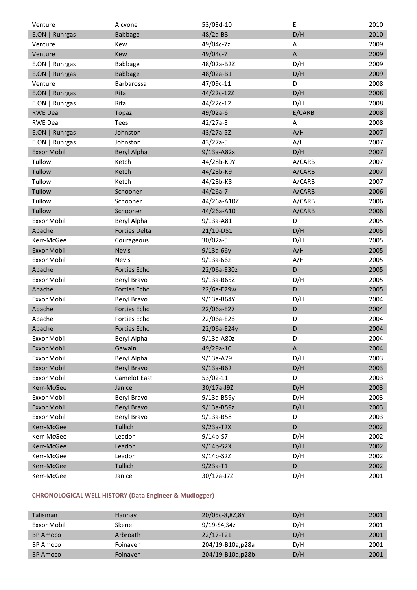| Venture        | Alcyone              | 53/03d-10     | Ε           | 2010 |
|----------------|----------------------|---------------|-------------|------|
| E.ON   Ruhrgas | <b>Babbage</b>       | $48/2a-B3$    | D/H         | 2010 |
| Venture        | Kew                  | 49/04c-7z     | Α           | 2009 |
| Venture        | Kew                  | 49/04c-7      | $\mathsf A$ | 2009 |
| E.ON   Ruhrgas | <b>Babbage</b>       | 48/02a-B2Z    | D/H         | 2009 |
| E.ON   Ruhrgas | <b>Babbage</b>       | 48/02a-B1     | D/H         | 2009 |
| Venture        | Barbarossa           | 47/09c-11     | D           | 2008 |
| E.ON   Ruhrgas | Rita                 | 44/22c-12Z    | D/H         | 2008 |
| E.ON   Ruhrgas | Rita                 | 44/22c-12     | D/H         | 2008 |
| <b>RWE Dea</b> | Topaz                | 49/02a-6      | E/CARB      | 2008 |
| <b>RWE Dea</b> | <b>Tees</b>          | $42/27a-3$    | A           | 2008 |
| E.ON   Ruhrgas | Johnston             | 43/27a-5Z     | A/H         | 2007 |
| E.ON   Ruhrgas | Johnston             | $43/27a-5$    | A/H         | 2007 |
| ExxonMobil     | <b>Beryl Alpha</b>   | $9/13a-AB2x$  | D/H         | 2007 |
| Tullow         | Ketch                | 44/28b-K9Y    | A/CARB      | 2007 |
| Tullow         | Ketch                | 44/28b-K9     | A/CARB      | 2007 |
| Tullow         | Ketch                | 44/28b-K8     | A/CARB      | 2007 |
| Tullow         | Schooner             | 44/26a-7      | A/CARB      | 2006 |
| Tullow         | Schooner             | 44/26a-A10Z   | A/CARB      | 2006 |
| Tullow         | Schooner             | 44/26a-A10    | A/CARB      | 2006 |
| ExxonMobil     | Beryl Alpha          | 9/13a-A81     | D           | 2005 |
| Apache         | <b>Forties Delta</b> | 21/10-D51     | D/H         | 2005 |
| Kerr-McGee     | Courageous           | 30/02a-5      | D/H         | 2005 |
| ExxonMobil     | <b>Nevis</b>         | $9/13a-66y$   | A/H         | 2005 |
| ExxonMobil     | <b>Nevis</b>         | $9/13a-66z$   | A/H         | 2005 |
| Apache         | Forties Echo         | 22/06a-E30z   | D           | 2005 |
| ExxonMobil     | Beryl Bravo          | 9/13a-B65Z    | D/H         | 2005 |
| Apache         | Forties Echo         | 22/6a-E29w    | D           | 2005 |
| ExxonMobil     | Beryl Bravo          | 9/13a-B64Y    | D/H         | 2004 |
| Apache         | <b>Forties Echo</b>  | 22/06a-E27    | D           | 2004 |
| Apache         | Forties Echo         | 22/06a-E26    | D           | 2004 |
| Apache         | Forties Echo         | 22/06a-E24y   | D           | 2004 |
| ExxonMobil     | Beryl Alpha          | 9/13a-A80z    | D           | 2004 |
| ExxonMobil     | Gawain               | 49/29a-10     | A           | 2004 |
| ExxonMobil     | Beryl Alpha          | 9/13a-A79     | D/H         | 2003 |
| ExxonMobil     | <b>Beryl Bravo</b>   | $9/13a - B62$ | D/H         | 2003 |
| ExxonMobil     | Camelot East         | 53/02-11      | D           | 2003 |
| Kerr-McGee     | Janice               | 30/17a-J9Z    | D/H         | 2003 |
| ExxonMobil     | Beryl Bravo          | $9/13a-B59y$  | D/H         | 2003 |
| ExxonMobil     | <b>Beryl Bravo</b>   | 9/13a-B59z    | D/H         | 2003 |
| ExxonMobil     | Beryl Bravo          | $9/13a - B58$ | D           | 2003 |
| Kerr-McGee     | Tullich              | $9/23a-T2X$   | D           | 2002 |
| Kerr-McGee     | Leadon               | 9/14b-S7      | D/H         | 2002 |
| Kerr-McGee     | Leadon               | $9/14b-52X$   | D/H         | 2002 |
| Kerr-McGee     | Leadon               | 9/14b-S2Z     | D/H         | 2002 |
| Kerr-McGee     | Tullich              | $9/23a-T1$    | D           | 2002 |
| Kerr-McGee     | Janice               | 30/17a-J7Z    | D/H         | 2001 |

# **CHRONOLOGICAL WELL HISTORY (Data Engineer & Mudlogger)**

| <b>Talisman</b> | Hannay          | 20/05c-8,8Z,8Y    | D/H | 2001 |
|-----------------|-----------------|-------------------|-----|------|
| ExxonMobil      | Skene           | 9/19-S4,S4z       | D/H | 2001 |
| <b>BP</b> Amoco | Arbroath        | $22/17 - T21$     | D/H | 2001 |
| <b>BP</b> Amoco | Foinaven        | 204/19-B10a, p28a | D/H | 2001 |
| <b>BP</b> Amoco | <b>Foinaven</b> | 204/19-B10a, p28b | D/H | 2001 |

BP Amoco Foinaven 204/19-B10z,p28b D/H 2001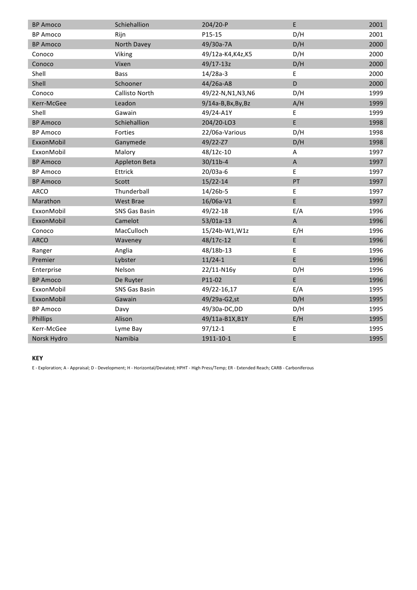| <b>BP Amoco</b> | Schiehallion         | 204/20-P            | E           | 2001 |
|-----------------|----------------------|---------------------|-------------|------|
| <b>BP Amoco</b> | Rijn                 | P15-15              | D/H         | 2001 |
| <b>BP Amoco</b> | North Davey          | 49/30a-7A           | D/H         | 2000 |
| Conoco          | Viking               | 49/12a-K4, K4z, K5  | D/H         | 2000 |
| Conoco          | Vixen                | 49/17-13z           | D/H         | 2000 |
| Shell           | <b>Bass</b>          | $14/28a-3$          | E           | 2000 |
| Shell           | Schooner             | 44/26a-A8           | D           | 2000 |
| Conoco          | Callisto North       | 49/22-N, N1, N3, N6 | D/H         | 1999 |
| Kerr-McGee      | Leadon               | $9/14a-B,Bx,By,Bz$  | A/H         | 1999 |
| Shell           | Gawain               | 49/24-A1Y           | E           | 1999 |
| <b>BP Amoco</b> | Schiehallion         | 204/20-LO3          | E           | 1998 |
| <b>BP Amoco</b> | Forties              | 22/06a-Various      | D/H         | 1998 |
| ExxonMobil      | Ganymede             | 49/22-Z7            | D/H         | 1998 |
| ExxonMobil      | Malory               | 48/12c-10           | A           | 1997 |
| <b>BP Amoco</b> | Appleton Beta        | $30/11b-4$          | $\mathsf A$ | 1997 |
| <b>BP Amoco</b> | Ettrick              | 20/03a-6            | E           | 1997 |
| <b>BP Amoco</b> | Scott                | $15/22 - 14$        | PT          | 1997 |
| <b>ARCO</b>     | Thunderball          | $14/26b-5$          | E           | 1997 |
| Marathon        | <b>West Brae</b>     | 16/06a-V1           | E           | 1997 |
| ExxonMobil      | <b>SNS Gas Basin</b> | 49/22-18            | E/A         | 1996 |
| ExxonMobil      | Camelot              | 53/01a-13           | $\mathsf A$ | 1996 |
| Conoco          | MacCulloch           | 15/24b-W1, W1z      | E/H         | 1996 |
| <b>ARCO</b>     | Waveney              | 48/17c-12           | E           | 1996 |
| Ranger          | Anglia               | 48/18b-13           | E           | 1996 |
| Premier         | Lybster              | $11/24-1$           | E           | 1996 |
| Enterprise      | Nelson               | 22/11-N16y          | D/H         | 1996 |
| <b>BP Amoco</b> | De Ruyter            | P11-02              | E           | 1996 |
| ExxonMobil      | SNS Gas Basin        | 49/22-16,17         | E/A         | 1995 |
| ExxonMobil      | Gawain               | 49/29a-G2,st        | D/H         | 1995 |
| <b>BP Amoco</b> | Davy                 | 49/30a-DC,DD        | D/H         | 1995 |
| Phillips        | Alison               | 49/11a-B1X, B1Y     | E/H         | 1995 |
| Kerr-McGee      | Lyme Bay             | $97/12 - 1$         | E           | 1995 |
| Norsk Hydro     | Namibia              | 1911-10-1           | E           | 1995 |

#### **KEY**

E - Exploration; A - Appraisal; D - Development; H - Horizontal/Deviated; HPHT - High Press/Temp; ER - Extended Reach; CARB - Carboniferous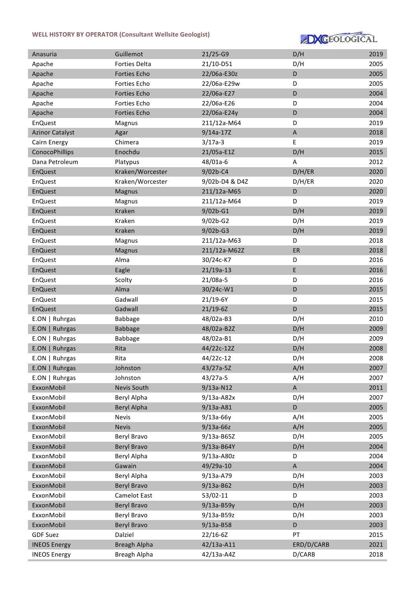### WELL HISTORY BY OPERATOR (Consultant Wellsite Geologist)



| Anasuria               | Guillemot           | $21/25-G9$     | D/H         | 2019 |
|------------------------|---------------------|----------------|-------------|------|
| Apache                 | Forties Delta       | 21/10-D51      | D/H         | 2005 |
| Apache                 | <b>Forties Echo</b> | 22/06a-E30z    | D           | 2005 |
| Apache                 | Forties Echo        | 22/06a-E29w    | D           | 2005 |
| Apache                 | Forties Echo        | 22/06a-E27     | D           | 2004 |
| Apache                 | Forties Echo        | 22/06a-E26     | D           | 2004 |
| Apache                 | Forties Echo        | 22/06a-E24y    | D           | 2004 |
| <b>EnQuest</b>         | Magnus              | 211/12a-M64    | D           | 2019 |
| <b>Azinor Catalyst</b> | Agar                | $9/14a-17Z$    | A           | 2018 |
| Cairn Energy           | Chimera             | $3/17a-3$      | E           | 2019 |
| ConocoPhillips         | Enochdu             | 21/05a-E1Z     | D/H         | 2015 |
| Dana Petroleum         | Platypus            | 48/01a-6       | A           | 2012 |
| <b>EnQuest</b>         | Kraken/Worcester    | 9/02b-C4       | D/H/ER      | 2020 |
| <b>EnQuest</b>         | Kraken/Worcester    | 9/02b-D4 & D4Z | D/H/ER      | 2020 |
| EnQuest                | Magnus              | 211/12a-M65    | D           | 2020 |
| <b>EnQuest</b>         | Magnus              | 211/12a-M64    | D           | 2019 |
| <b>EnQuest</b>         | Kraken              | 9/02b-G1       | D/H         | 2019 |
| EnQuest                | Kraken              | $9/02b-G2$     | D/H         | 2019 |
| <b>EnQuest</b>         | Kraken              | $9/02b-G3$     | D/H         | 2019 |
| <b>EnQuest</b>         | Magnus              | 211/12a-M63    | D           | 2018 |
| <b>EnQuest</b>         | Magnus              | 211/12a-M62Z   | ER          | 2018 |
| EnQuest                | Alma                | 30/24c-K7      | D           | 2016 |
| <b>EnQuest</b>         | Eagle               | $21/19a-13$    | $\sf E$     | 2016 |
| <b>EnQuest</b>         | Scolty              | 21/08a-5       | D           | 2016 |
| <b>EnQuest</b>         | Alma                | 30/24c-W1      | D           | 2015 |
| <b>EnQuest</b>         | Gadwall             | 21/19-6Y       | D           | 2015 |
| <b>EnQuest</b>         | Gadwall             | $21/19 - 6Z$   | D           | 2015 |
| E.ON   Ruhrgas         | Babbage             | 48/02a-B3      | D/H         | 2010 |
| E.ON   Ruhrgas         | <b>Babbage</b>      | 48/02a-B2Z     | D/H         | 2009 |
| E.ON   Ruhrgas         | Babbage             | 48/02a-B1      | D/H         | 2009 |
| E.ON   Ruhrgas         | Rita                | 44/22c-12Z     | D/H         | 2008 |
| E.ON   Ruhrgas         | Rita                | 44/22c-12      | D/H         | 2008 |
| E.ON   Ruhrgas         | Johnston            | 43/27a-5Z      | A/H         | 2007 |
| E.ON   Ruhrgas         | Johnston            | $43/27a-5$     | A/H         | 2007 |
| ExxonMobil             | Nevis South         | 9/13a-N12      | $\mathsf A$ | 2011 |
| ExxonMobil             | Beryl Alpha         | $9/13a-AB2x$   | D/H         | 2007 |
| ExxonMobil             | <b>Beryl Alpha</b>  | $9/13a-AB1$    | D           | 2005 |
| ExxonMobil             | <b>Nevis</b>        | $9/13a-66y$    | A/H         | 2005 |
| ExxonMobil             | <b>Nevis</b>        | $9/13a-66z$    | A/H         | 2005 |
| ExxonMobil             | Beryl Bravo         | 9/13a-B65Z     | D/H         | 2005 |
| ExxonMobil             | <b>Beryl Bravo</b>  | 9/13a-B64Y     | D/H         | 2004 |
| ExxonMobil             | Beryl Alpha         | 9/13a-A80z     | D           | 2004 |
| ExxonMobil             | Gawain              | 49/29a-10      | $\mathsf A$ | 2004 |
| ExxonMobil             | Beryl Alpha         | 9/13a-A79      | D/H         | 2003 |
| ExxonMobil             | <b>Beryl Bravo</b>  | 9/13a-B62      | D/H         | 2003 |
| ExxonMobil             | Camelot East        | 53/02-11       | D           | 2003 |
| ExxonMobil             | <b>Beryl Bravo</b>  | $9/13a-B59y$   | D/H         | 2003 |
| ExxonMobil             | Beryl Bravo         | 9/13a-B59z     | D/H         | 2003 |
| ExxonMobil             | <b>Beryl Bravo</b>  | 9/13a-B58      | D           | 2003 |
| <b>GDF Suez</b>        | Dalziel             | $22/16 - 6Z$   | PT          | 2015 |
| <b>INEOS Energy</b>    | <b>Breagh Alpha</b> | 42/13a-A11     | ERD/D/CARB  | 2021 |
| <b>INEOS Energy</b>    | Breagh Alpha        | 42/13a-A4Z     | D/CARB      | 2018 |
|                        |                     |                |             |      |

In the control of the control of the control of the control of the control of the control of the control of the control of the control of the control of the control of the control of the control of the control of the contr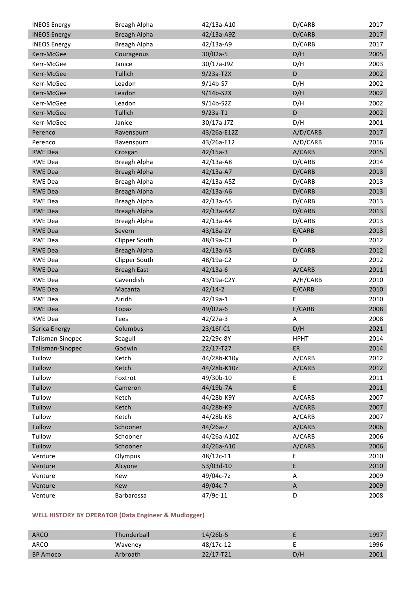| <b>INEOS Energy</b>  | Breagh Alpha        | 42/13a-A10  | D/CARB      | 2017 |
|----------------------|---------------------|-------------|-------------|------|
| <b>INEOS Energy</b>  | <b>Breagh Alpha</b> | 42/13a-A9Z  | D/CARB      | 2017 |
| <b>INEOS Energy</b>  | Breagh Alpha        | 42/13a-A9   | D/CARB      | 2017 |
| Kerr-McGee           | Courageous          | $30/02a-5$  | D/H         | 2005 |
| Kerr-McGee           | Janice              | 30/17a-J9Z  | D/H         | 2003 |
| Kerr-McGee           | Tullich             | $9/23a-T2X$ | D           | 2002 |
| Kerr-McGee           | Leadon              | $9/14b-57$  | D/H         | 2002 |
| Kerr-McGee           | Leadon              | $9/14b-52X$ | D/H         | 2002 |
| Kerr-McGee           | Leadon              | 9/14b-S2Z   | D/H         | 2002 |
| Kerr-McGee           | Tullich             | $9/23a-T1$  | D           | 2002 |
| Kerr-McGee           | Janice              | 30/17a-J7Z  | D/H         | 2001 |
| Perenco              | Ravenspurn          | 43/26a-E12Z | A/D/CARB    | 2017 |
| Perenco              | Ravenspurn          | 43/26a-E12  | A/D/CARB    | 2016 |
| <b>RWE Dea</b>       | Crosgan             | $42/15a-3$  | A/CARB      | 2015 |
| <b>RWE Dea</b>       | Breagh Alpha        | 42/13a-A8   | D/CARB      | 2014 |
| <b>RWE Dea</b>       | <b>Breagh Alpha</b> | 42/13a-A7   | D/CARB      | 2013 |
| RWE Dea              | Breagh Alpha        | 42/13a-A5Z  | D/CARB      | 2013 |
| <b>RWE Dea</b>       | <b>Breagh Alpha</b> | 42/13a-A6   | D/CARB      | 2013 |
| RWE Dea              | Breagh Alpha        | 42/13a-A5   | D/CARB      | 2013 |
| <b>RWE Dea</b>       | <b>Breagh Alpha</b> | 42/13a-A4Z  | D/CARB      | 2013 |
| RWE Dea              | Breagh Alpha        | 42/13a-A4   | D/CARB      | 2013 |
| <b>RWE Dea</b>       | Severn              | 43/18a-2Y   | E/CARB      | 2013 |
| RWE Dea              | Clipper South       | 48/19a-C3   | D           | 2012 |
| <b>RWE Dea</b>       | <b>Breagh Alpha</b> | $42/13a-AB$ | D/CARB      | 2012 |
| RWE Dea              | Clipper South       | 48/19a-C2   | D           | 2012 |
| <b>RWE Dea</b>       | <b>Breagh East</b>  | $42/13a-6$  | A/CARB      | 2011 |
| RWE Dea              | Cavendish           | 43/19a-C2Y  | A/H/CARB    | 2010 |
| <b>RWE Dea</b>       | Macanta             | $42/14-2$   | E/CARB      | 2010 |
| RWE Dea              | Airidh              | $42/19a-1$  | E           | 2010 |
| <b>RWE Dea</b>       | Topaz               | 49/02a-6    | E/CARB      | 2008 |
| RWE Dea              | Tees                | $42/27a-3$  | A           | 2008 |
| <b>Serica Energy</b> | Columbus            | 23/16f-C1   | D/H         | 2021 |
| Talisman-Sinopec     | Seagull             | 22/29c-8Y   | <b>HPHT</b> | 2014 |
| Talisman-Sinopec     | Godwin              | 22/17-T27   | ER          | 2014 |
| Tullow               | Ketch               | 44/28b-K10y | A/CARB      | 2012 |
| Tullow               | Ketch               | 44/28b-K10z | A/CARB      | 2012 |
| Tullow               | Foxtrot             | 49/30b-10   | E           | 2011 |
| Tullow               | Cameron             | 44/19b-7A   | E           | 2011 |
| Tullow               | Ketch               | 44/28b-K9Y  | A/CARB      | 2007 |
| Tullow               | Ketch               | 44/28b-K9   | A/CARB      | 2007 |
| Tullow               | Ketch               | 44/28b-K8   | A/CARB      | 2007 |
| Tullow               | Schooner            | $44/26a-7$  | A/CARB      | 2006 |
| Tullow               | Schooner            | 44/26a-A10Z | A/CARB      | 2006 |
| Tullow               | Schooner            | 44/26a-A10  | A/CARB      | 2006 |
| Venture              | Olympus             | 48/12c-11   | E           | 2010 |
| Venture              | Alcyone             | 53/03d-10   | E           | 2010 |
| Venture              | Kew                 | 49/04c-7z   | Α           | 2009 |
| Venture              | Kew                 | 49/04c-7    | $\mathsf A$ | 2009 |
| Venture              | Barbarossa          | 47/9c-11    | D           | 2008 |

# **WELL HISTORY BY OPERATOR (Data Engineer & Mudlogger)**

| <b>ARCO</b>     | <b>Thunderball</b> | $14/26b-5$    |     | 1997 |
|-----------------|--------------------|---------------|-----|------|
| ARCO            | Waveney            | 48/17c-12     |     | 1996 |
| <b>BP Amoco</b> | Arbroath           | $22/17 - T21$ | D/H | 2001 |

BP Amoco Foinaven 204/19-B10a,p28a D/H 2001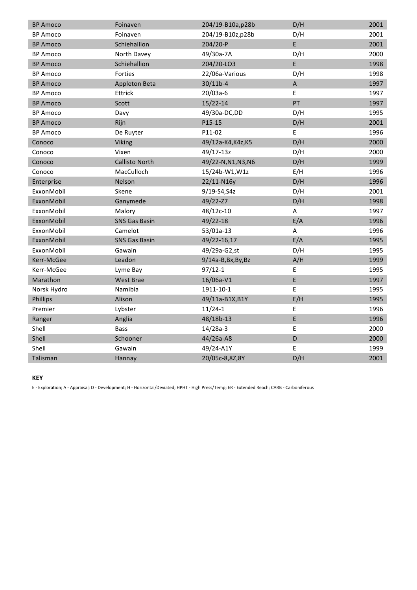| <b>BP Amoco</b> | Foinaven              | 204/19-B10a,p28b    | D/H         | 2001 |
|-----------------|-----------------------|---------------------|-------------|------|
| <b>BP Amoco</b> | Foinaven              | 204/19-B10z,p28b    | D/H         | 2001 |
| <b>BP Amoco</b> | Schiehallion          | $204/20-P$          | E           | 2001 |
| <b>BP Amoco</b> | North Davey           | 49/30a-7A           | D/H         | 2000 |
| <b>BP Amoco</b> | Schiehallion          | 204/20-LO3          | E           | 1998 |
| <b>BP Amoco</b> | Forties               | 22/06a-Various      | D/H         | 1998 |
| <b>BP Amoco</b> | Appleton Beta         | $30/11b-4$          | $\mathsf A$ | 1997 |
| <b>BP Amoco</b> | Ettrick               | 20/03a-6            | E           | 1997 |
| <b>BP Amoco</b> | Scott                 | $15/22 - 14$        | PT          | 1997 |
| <b>BP Amoco</b> | Davy                  | 49/30a-DC, DD       | D/H         | 1995 |
| <b>BP Amoco</b> | Rijn                  | P15-15              | D/H         | 2001 |
| <b>BP Amoco</b> | De Ruyter             | P11-02              | E           | 1996 |
| Conoco          | Viking                | 49/12a-K4, K4z, K5  | D/H         | 2000 |
| Conoco          | Vixen                 | 49/17-13z           | D/H         | 2000 |
| Conoco          | <b>Callisto North</b> | 49/22-N, N1, N3, N6 | D/H         | 1999 |
| Conoco          | MacCulloch            | 15/24b-W1, W1z      | E/H         | 1996 |
| Enterprise      | Nelson                | 22/11-N16y          | D/H         | 1996 |
| ExxonMobil      | Skene                 | 9/19-S4, S4z        | D/H         | 2001 |
| ExxonMobil      | Ganymede              | 49/22-Z7            | D/H         | 1998 |
| ExxonMobil      | Malory                | 48/12c-10           | A           | 1997 |
| ExxonMobil      | <b>SNS Gas Basin</b>  | 49/22-18            | E/A         | 1996 |
| ExxonMobil      | Camelot               | 53/01a-13           | A           | 1996 |
| ExxonMobil      | <b>SNS Gas Basin</b>  | 49/22-16,17         | E/A         | 1995 |
| ExxonMobil      | Gawain                | 49/29a-G2,st        | D/H         | 1995 |
| Kerr-McGee      | Leadon                | $9/14a-B,Bx,By,Bz$  | A/H         | 1999 |
| Kerr-McGee      | Lyme Bay              | $97/12 - 1$         | E           | 1995 |
| Marathon        | West Brae             | 16/06a-V1           | E           | 1997 |
| Norsk Hydro     | Namibia               | 1911-10-1           | E           | 1995 |
| Phillips        | Alison                | 49/11a-B1X, B1Y     | E/H         | 1995 |
| Premier         | Lybster               | $11/24-1$           | E           | 1996 |
| Ranger          | Anglia                | 48/18b-13           | E           | 1996 |
| Shell           | <b>Bass</b>           | $14/28a-3$          | E           | 2000 |
| Shell           | Schooner              | 44/26a-A8           | D           | 2000 |
| Shell           | Gawain                | 49/24-A1Y           | E           | 1999 |
| Talisman        | Hannay                | 20/05c-8,8Z,8Y      | D/H         | 2001 |

#### **KEY**

E - Exploration; A - Appraisal; D - Development; H - Horizontal/Deviated; HPHT - High Press/Temp; ER - Extended Reach; CARB - Carboniferous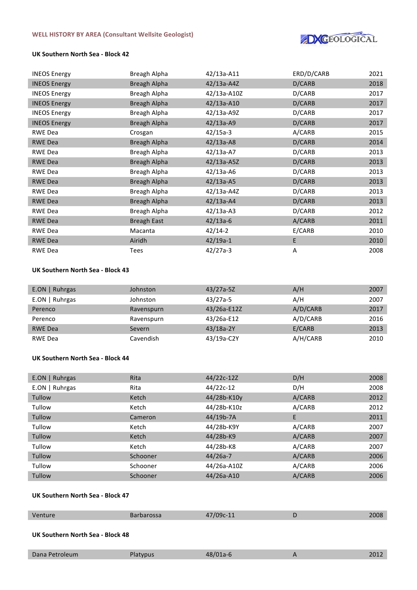

### **UK Southern North Sea - Block 42**

| <b>INEOS Energy</b> | Breagh Alpha       | 42/13a-A11   | ERD/D/CARB | 2021 |
|---------------------|--------------------|--------------|------------|------|
| <b>INEOS Energy</b> | Breagh Alpha       | $42/13a-AAZ$ | D/CARB     | 2018 |
| <b>INEOS Energy</b> | Breagh Alpha       | 42/13a-A10Z  | D/CARB     | 2017 |
| <b>INEOS Energy</b> | Breagh Alpha       | 42/13a-A10   | D/CARB     | 2017 |
| <b>INEOS Energy</b> | Breagh Alpha       | 42/13a-A9Z   | D/CARB     | 2017 |
| <b>INEOS Energy</b> | Breagh Alpha       | $42/13a-AB$  | D/CARB     | 2017 |
| RWE Dea             | Crosgan            | $42/15a-3$   | A/CARB     | 2015 |
| <b>RWE Dea</b>      | Breagh Alpha       | 42/13a-A8    | D/CARB     | 2014 |
| <b>RWE Dea</b>      | Breagh Alpha       | 42/13a-A7    | D/CARB     | 2013 |
| <b>RWE Dea</b>      | Breagh Alpha       | $42/13a-ASZ$ | D/CARB     | 2013 |
| <b>RWE Dea</b>      | Breagh Alpha       | 42/13a-A6    | D/CARB     | 2013 |
| <b>RWE Dea</b>      | Breagh Alpha       | $42/13a-AB$  | D/CARB     | 2013 |
| <b>RWE Dea</b>      | Breagh Alpha       | 42/13a-A4Z   | D/CARB     | 2013 |
| <b>RWE Dea</b>      | Breagh Alpha       | $42/13a-AA$  | D/CARB     | 2013 |
| RWE Dea             | Breagh Alpha       | $42/13a-AB$  | D/CARB     | 2012 |
| <b>RWE Dea</b>      | <b>Breagh East</b> | $42/13a-6$   | A/CARB     | 2011 |
| <b>RWE Dea</b>      | Macanta            | $42/14-2$    | E/CARB     | 2010 |
| <b>RWE Dea</b>      | Airidh             | $42/19a-1$   | E          | 2010 |
| <b>RWE Dea</b>      | <b>Tees</b>        | $42/27a-3$   | Α          | 2008 |

### **UK Southern North Sea - Block 43**

| $E.ON$   Ruhrgas | Johnston   | $43/27a-5Z$ | A/H      | 2007 |
|------------------|------------|-------------|----------|------|
| $E.ON$   Ruhrgas | Johnston   | 43/27a-5    | A/H      | 2007 |
| Perenco          | Ravenspurn | 43/26a-E12Z | A/D/CARB | 2017 |
| Perenco          | Ravenspurn | 43/26a-E12  | A/D/CARB | 2016 |
| <b>RWE Dea</b>   | Severn     | $43/18a-2Y$ | E/CARB   | 2013 |
| <b>RWE Dea</b>   | Cavendish  | 43/19a-C2Y  | A/H/CARB | 2010 |

#### **UK Southern North Sea - Block 44**

| $E.ON$   Ruhrgas | Rita     | 44/22c-12Z  | D/H    | 2008 |
|------------------|----------|-------------|--------|------|
| $E.ON$   Ruhrgas | Rita     | 44/22c-12   | D/H    | 2008 |
| Tullow           | Ketch    | 44/28b-K10y | A/CARB | 2012 |
| Tullow           | Ketch    | 44/28b-K10z | A/CARB | 2012 |
| Tullow           | Cameron  | 44/19b-7A   | E      | 2011 |
| Tullow           | Ketch    | 44/28b-K9Y  | A/CARB | 2007 |
| Tullow           | Ketch    | 44/28b-K9   | A/CARB | 2007 |
| Tullow           | Ketch    | 44/28b-K8   | A/CARB | 2007 |
| Tullow           | Schooner | $44/26a-7$  | A/CARB | 2006 |
| Tullow           | Schooner | 44/26a-A10Z | A/CARB | 2006 |
| Tullow           | Schooner | 44/26a-A10  | A/CARB | 2006 |

# **UK Southern North Sea - Block 47**

| Venture                          | <b>Barbarossa</b> | 47/09c-11  | D | 2008 |
|----------------------------------|-------------------|------------|---|------|
| UK Southern North Sea - Block 48 |                   |            |   |      |
| Dana Petroleum                   | Platypus          | $48/01a-6$ |   | 2012 |

E.ON | Ruhrgas Babbage 48/02a-B3 D/H 2010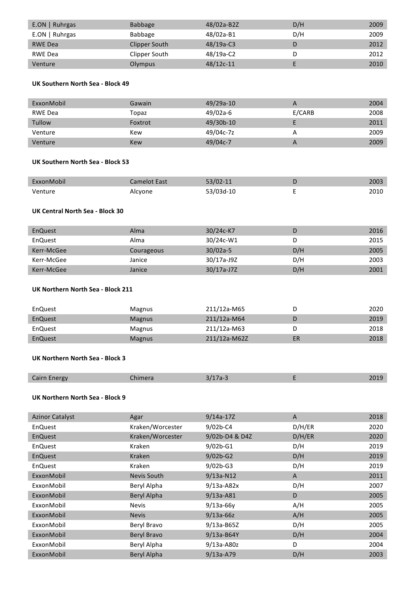| $E.ON$   Ruhrgas | <b>Babbage</b> | 48/02a-B2Z  | D/H | 2009 |
|------------------|----------------|-------------|-----|------|
| $E.ON$   Ruhrgas | Babbage        | 48/02a-B1   | D/H | 2009 |
| <b>RWE Dea</b>   | Clipper South  | $48/19a-C3$ | D   | 2012 |
| RWE Dea          | Clipper South  | 48/19a-C2   |     | 2012 |
| Venture          | Olympus        | $48/12c-11$ |     | 2010 |

### **UK Southern North Sea - Block 49**

| ExxonMobil | Gawain  | 49/29a-10 | А      | 2004 |
|------------|---------|-----------|--------|------|
| RWE Dea    | Topaz   | 49/02a-6  | E/CARB | 2008 |
| Tullow     | Foxtrot | 49/30b-10 |        | 2011 |
| Venture    | Kew     | 49/04c-7z |        | 2009 |
| Venture    | Kew     | 49/04c-7  |        | 2009 |

#### **UK Southern North Sea - Block 53**

| ExxonMobil | Camelot East | $53/02 - 11$ | 2003 |
|------------|--------------|--------------|------|
| Venture    | Alcyone      | 53/03d-10    | 2010 |

# **UK Central North Sea - Block 30**

| EnQuest    | Alma       | $30/24c$ -K7 | D   | 2016 |
|------------|------------|--------------|-----|------|
| EnQuest    | Alma       | 30/24c-W1    |     | 2015 |
| Kerr-McGee | Courageous | $30/02a-5$   | D/H | 2005 |
| Kerr-McGee | Janice     | 30/17a-J9Z   | D/H | 2003 |
| Kerr-McGee | Janice     | 30/17a-J7Z   | D/H | 2001 |

# **UK Northern North Sea - Block 211**

| EnQuest | <b>Magnus</b> | 211/12a-M65  |    | 2020 |
|---------|---------------|--------------|----|------|
| EnQuest | <b>Magnus</b> | 211/12a-M64  |    | 2019 |
| EnQuest | <b>Magnus</b> | 211/12a-M63  |    | 2018 |
| EnQuest | <b>Magnus</b> | 211/12a-M62Z | ER | 2018 |

### **UK Northern North Sea - Block 3**

| <b>Cairn Energy</b> | himera | -- |  |
|---------------------|--------|----|--|

### **UK Northern North Sea - Block 9**

| Agar             | $9/14a-17Z$    | A      | 2018 |
|------------------|----------------|--------|------|
| Kraken/Worcester | $9/02b - C4$   | D/H/ER | 2020 |
| Kraken/Worcester | 9/02b-D4 & D4Z | D/H/ER | 2020 |
| Kraken           | $9/02b-G1$     | D/H    | 2019 |
| <b>Kraken</b>    | $9/02b-G2$     | D/H    | 2019 |
| Kraken           | $9/02b - G3$   | D/H    | 2019 |
| Nevis South      | $9/13a-N12$    | A      | 2011 |
| Beryl Alpha      | $9/13a-AB2x$   | D/H    | 2007 |
| Beryl Alpha      | $9/13a-AB1$    | D      | 2005 |
| <b>Nevis</b>     | $9/13a-66v$    | A/H    | 2005 |
| <b>Nevis</b>     | $9/13a-66z$    | A/H    | 2005 |
| Beryl Bravo      | $9/13a - B65Z$ | D/H    | 2005 |
| Beryl Bravo      | $9/13a-B64Y$   | D/H    | 2004 |
| Beryl Alpha      | $9/13a-AB0z$   | D      | 2004 |
| Beryl Alpha      | $9/13a- A79$   | D/H    | 2003 |
|                  |                |        |      |

ExxonMobil Beryl Bravo 9/13a-B62 D/H 2003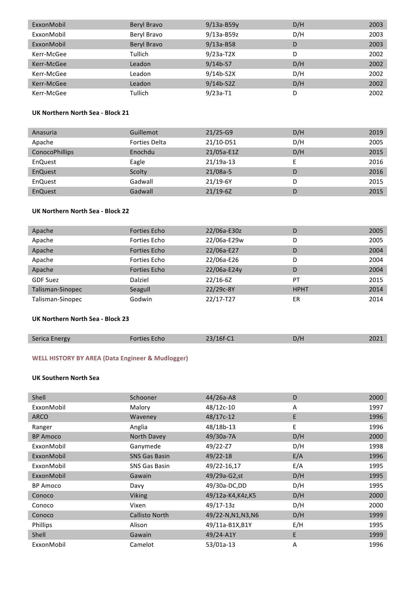| ExxonMobil | Beryl Bravo | $9/13a-B59y$  | D/H | 2003 |
|------------|-------------|---------------|-----|------|
| ExxonMobil | Beryl Bravo | $9/13a-B59z$  | D/H | 2003 |
| ExxonMobil | Beryl Bravo | $9/13a - B58$ | D   | 2003 |
| Kerr-McGee | Tullich     | $9/23a-T2X$   | D   | 2002 |
| Kerr-McGee | Leadon      | $9/14b-57$    | D/H | 2002 |
| Kerr-McGee | Leadon      | $9/14b-52X$   | D/H | 2002 |
| Kerr-McGee | Leadon      | $9/14b-52Z$   | D/H | 2002 |
| Kerr-McGee | Tullich     | $9/23a-T1$    | D   | 2002 |

# **UK Northern North Sea - Block 21**

| Anasuria              | Guillemot            | $21/25-G9$  | D/H | 2019 |
|-----------------------|----------------------|-------------|-----|------|
| Apache                | <b>Forties Delta</b> | 21/10-D51   | D/H | 2005 |
| <b>ConocoPhillips</b> | Enochdu              | 21/05a-E1Z  | D/H | 2015 |
| EnQuest               | Eagle                | $21/19a-13$ |     | 2016 |
| EnQuest               | Scolty               | $21/08a-5$  | D   | 2016 |
| EnQuest               | Gadwall              | $21/19-6Y$  | D   | 2015 |
| EnQuest               | Gadwall              | $21/19-6Z$  | D   | 2015 |

# **UK Northern North Sea - Block 22**

| Apache           | <b>Forties Echo</b> | 22/06a-E30z  | D           | 2005 |
|------------------|---------------------|--------------|-------------|------|
| Apache           | Forties Echo        | 22/06a-E29w  | D           | 2005 |
| Apache           | <b>Forties Echo</b> | 22/06a-E27   | D           | 2004 |
| Apache           | Forties Echo        | 22/06a-E26   | D           | 2004 |
| Apache           | <b>Forties Echo</b> | 22/06a-E24y  | D           | 2004 |
| <b>GDF Suez</b>  | Dalziel             | $22/16 - 6Z$ | PT          | 2015 |
| Talisman-Sinopec | Seagull             | 22/29c-8Y    | <b>HPHT</b> | 2014 |
| Talisman-Sinopec | Godwin              | 22/17-T27    | ER          | 2014 |

### **UK Northern North Sea - Block 23**

| <b>Serica Energy</b> | Forties Echo | 23/16f-C1 | D/H | 2021 |
|----------------------|--------------|-----------|-----|------|
|                      |              |           |     |      |

# WELL HISTORY BY AREA (Data Engineer & Mudlogger)

#### **UK Southern North Sea**

| Shell           | Schooner              | $44/26a-AB$         | D   | 2000 |
|-----------------|-----------------------|---------------------|-----|------|
| ExxonMobil      | Malory                | 48/12c-10           | A   | 1997 |
| <b>ARCO</b>     | Waveney               | 48/17c-12           | E   | 1996 |
| Ranger          | Anglia                | 48/18b-13           | E   | 1996 |
| <b>BP Amoco</b> | North Davey           | 49/30a-7A           | D/H | 2000 |
| ExxonMobil      | Ganymede              | 49/22-Z7            | D/H | 1998 |
| ExxonMobil      | <b>SNS Gas Basin</b>  | $49/22 - 18$        | E/A | 1996 |
| ExxonMobil      | <b>SNS Gas Basin</b>  | 49/22-16,17         | E/A | 1995 |
| ExxonMobil      | Gawain                | 49/29a-G2,st        | D/H | 1995 |
| <b>BP Amoco</b> | Davy                  | 49/30a-DC,DD        | D/H | 1995 |
| Conoco          | <b>Viking</b>         | 49/12a-K4, K4z, K5  | D/H | 2000 |
| Conoco          | Vixen                 | 49/17-13z           | D/H | 2000 |
| Conoco          | <b>Callisto North</b> | 49/22-N, N1, N3, N6 | D/H | 1999 |
| Phillips        | Alison                | 49/11a-B1X, B1Y     | E/H | 1995 |
| Shell           | Gawain                | 49/24-A1Y           | E   | 1999 |
| ExxonMobil      | Camelot               | 53/01a-13           | A   | 1996 |
|                 |                       |                     |     |      |